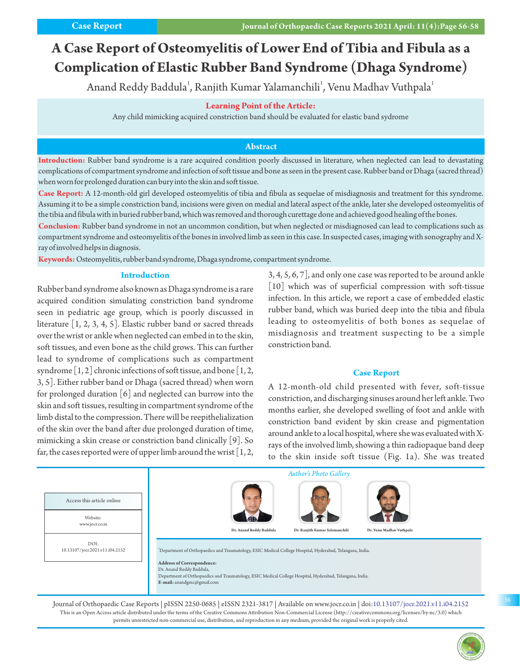# **A Case Report of Osteomyelitis of Lower End of Tibia and Fibula as a Complication of Elastic Rubber Band Syndrome (Dhaga Syndrome)**

Anand Reddy Baddula $^{\rm l}$ , Ranjith Kumar Yalamanchili $^{\rm l}$ , Venu Madhav Vuthpala $^{\rm l}$ 

### **Learning Point of the Article:**

Any child mimicking acquired constriction band should be evaluated for elastic band sydrome

## **Abstract**

**Introduction:** Rubber band syndrome is a rare acquired condition poorly discussed in literature, when neglected can lead to devastating complications of compartment syndrome and infection of soft tissue and bone as seen in the present case. Rubber band or Dhaga (sacred thread) when worn for prolonged duration can bury into the skin and soft tissue.

**Case Report:** A 12-month-old girl developed osteomyelitis of tibia and fibula as sequelae of misdiagnosis and treatment for this syndrome. Assuming it to be a simple constriction band, incisions were given on medial and lateral aspect of the ankle, later she developed osteomyelitis of the tibia and fibula with in buried rubber band, which was removed and thorough curettage done and achieved good healing of the bones.

**Conclusion:** Rubber band syndrome in not an uncommon condition, but when neglected or misdiagnosed can lead to complications such as compartment syndrome and osteomyelitis of the bones in involved limb as seen in this case. In suspected cases, imaging with sonography and Xray of involved helps in diagnosis.

**Keywords:**Osteomyelitis, rubber band syndrome, Dhaga syndrome, compartment syndrome.

### **Introduction**

Rubber band syndrome also known as Dhaga syndrome is a rare acquired condition simulating constriction band syndrome seen in pediatric age group, which is poorly discussed in literature [1, 2, 3, 4, 5]. Elastic rubber band or sacred threads over the wrist or ankle when neglected can embed in to the skin, soft tissues, and even bone as the child grows. This can further lead to syndrome of complications such as compartment syndrome  $[1, 2]$  chronic infections of soft tissue, and bone  $[1, 2]$ , 3, 5]. Either rubber band or Dhaga (sacred thread) when worn for prolonged duration  $\lceil 6 \rceil$  and neglected can burrow into the skin and soft tissues, resulting in compartment syndrome of the limb distal to the compression. There will be reepithelialization of the skin over the band after due prolonged duration of time, mimicking a skin crease or constriction band clinically [9]. So far, the cases reported were of upper limb around the wrist  $[1, 2, 1]$ 

3, 4, 5, 6, 7], and only one case was reported to be around ankle [10] which was of superficial compression with soft-tissue infection. In this article, we report a case of embedded elastic rubber band, which was buried deep into the tibia and fibula leading to osteomyelitis of both bones as sequelae of misdiagnosis and treatment suspecting to be a simple constriction band.

#### **Case Report**

A 12-month-old child presented with fever, soft-tissue constriction, and discharging sinuses around her left ankle. Two months earlier, she developed swelling of foot and ankle with constriction band evident by skin crease and pigmentation around ankle to a local hospital, where she was evaluated with Xrays of the involved limb, showing a thin radiopaque band deep to the skin inside soft tissue (Fig. 1a). She was treated



This is an Open Access article distributed under the terms of the Creative Commons Attribution Non-Commercial License (http://creativecommons.org/licenses/by-nc/3.0) which permits unrestricted non-commercial use, distribution, and reproduction in any medium, provided the original work is properly cited.

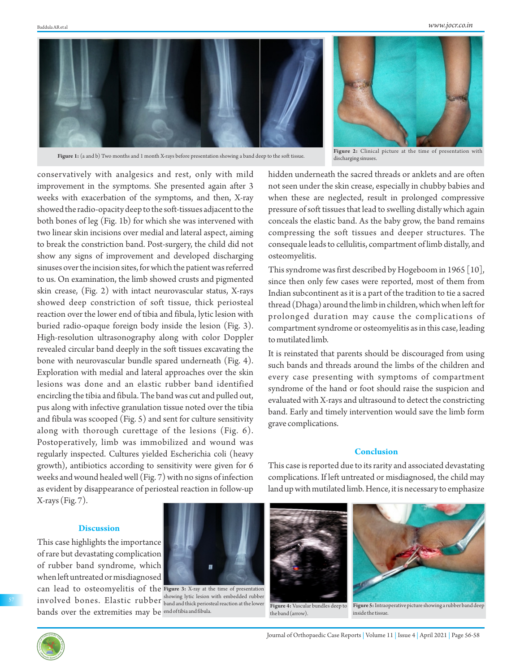

**Figure 1:** (a and b) Two months and 1 month X-rays before presentation showing a band deep to the soft tissue.



**Figure 2:** Clinical picture at the time of presentation with discharging sinuses.

conservatively with analgesics and rest, only with mild improvement in the symptoms. She presented again after 3 weeks with exacerbation of the symptoms, and then, X-ray showed the radio-opacity deep to the soft-tissues adjacent to the both bones of leg (Fig. 1b) for which she was intervened with two linear skin incisions over medial and lateral aspect, aiming to break the constriction band. Post-surgery, the child did not show any signs of improvement and developed discharging sinuses over the incision sites, for which the patient was referred to us. On examination, the limb showed crusts and pigmented skin crease, (Fig. 2) with intact neurovascular status, X-rays showed deep constriction of soft tissue, thick periosteal reaction over the lower end of tibia and fibula, lytic lesion with buried radio-opaque foreign body inside the lesion (Fig. 3). High-resolution ultrasonography along with color Doppler revealed circular band deeply in the soft tissues excavating the bone with neurovascular bundle spared underneath (Fig. 4). Exploration with medial and lateral approaches over the skin lesions was done and an elastic rubber band identified encircling the tibia and fibula. The band was cut and pulled out, pus along with infective granulation tissue noted over the tibia and fibula was scooped (Fig. 5) and sent for culture sensitivity along with thorough curettage of the lesions (Fig. 6). Postoperatively, limb was immobilized and wound was regularly inspected. Cultures yielded Escherichia coli (heavy growth), antibiotics according to sensitivity were given for 6 weeks and wound healed well (Fig. 7) with no signs of infection as evident by disappearance of periosteal reaction in follow-up  $X-rays (Fig. 7).$ 

# **Discussion**

This case highlights the importance of rare but devastating complication of rubber band syndrome, which when left untreated or misdiagnosed

can lead to osteomyelitis of the **Figure 3:** X-ray at the time of presentation  $\operatorname{involved}$  bones. Elastic rubber  $_\text{band and thick periodal reaction at the lower}$ bands over the extremities may be <sup>end of tibia and fibula.</sup> band and thick periosteal reaction at the lower

hidden underneath the sacred threads or anklets and are often not seen under the skin crease, especially in chubby babies and when these are neglected, result in prolonged compressive pressure of soft tissues that lead to swelling distally which again conceals the elastic band. As the baby grow, the band remains compressing the soft tissues and deeper structures. The consequale leads to cellulitis, compartment of limb distally, and osteomyelitis.

This syndrome was first described by Hogeboom in 1965 [10], since then only few cases were reported, most of them from Indian subcontinent as it is a part of the tradition to tie a sacred thread (Dhaga) around the limb in children, which when left for prolonged duration may cause the complications of compartment syndrome or osteomyelitis as in this case, leading to mutilated limb.

It is reinstated that parents should be discouraged from using such bands and threads around the limbs of the children and every case presenting with symptoms of compartment syndrome of the hand or foot should raise the suspicion and evaluated with X-rays and ultrasound to detect the constricting band. Early and timely intervention would save the limb form grave complications.

### **Conclusion**

This case is reported due to its rarity and associated devastating complications. If left untreated or misdiagnosed, the child may land up with mutilated limb. Hence, it is necessary to emphasize



the band (arrow).

**Figure 5:**Intraoperative picture showing a rubber band deep inside the tissue.